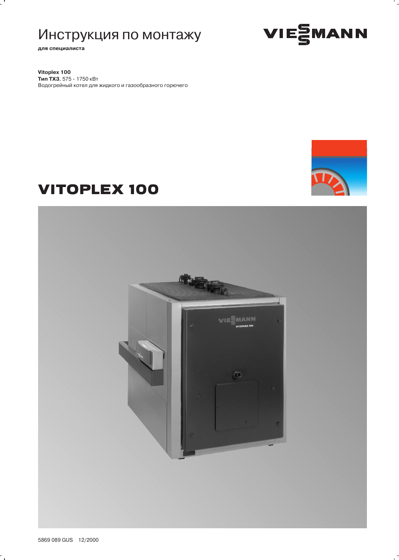# Инструкция по монтажу

для специалиста

 $\overline{a}$ 

VIESMANN

Vitoplex 100 Тип ТХЗ, 575 - 1750 кВт Водогрейный котел для жидкого и газообразного горючего



# **VITOPLEX 100**



 $\ddot{\phantom{0}}$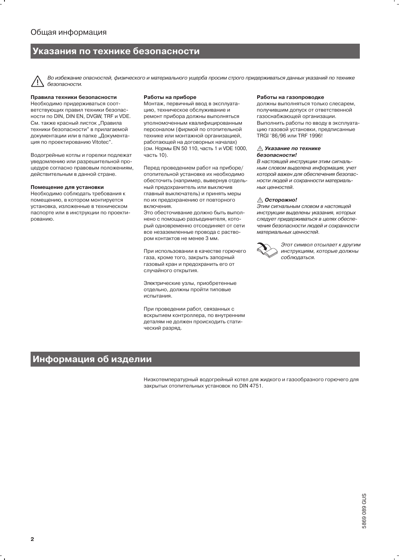### Указания по технике безопасности

Во избежание опасностей, физического и материального ущерба просим строго придерживаться данных указаний по технике безопасности.

#### Правила техники безопасности

Необходимо придерживаться соответствующих правил техники безопасности по DIN, DIN EN, DVGW, TRF и VDE. См. также красный листок "Правила техники безопасности" в прилагаемой документации или в папке "Документация по проектированию Vitotec".

Водогрейные котлы и горелки подлежат уведомлению или разрешительной процедуре согласно правовым положениям, действительным в данной стране.

#### Помещение для установки

Необходимо соблюдать требования к помещению, в котором монтируется установка, изложенные в техническом паспорте или в инструкции по проектированию.

#### Работы на приборе

Монтаж, первичный ввод в эксплуатацию, техническое обслуживание и ремонт прибора должны выполняться уполномоченным квалифицированным персоналом (фирмой по отопительной технике или монтажной организацией, работающей на договорных началах) (см. Нормы EN 50 110, часть 1 и VDE 1000, часть 10).

Перед проведением работ на приборе/ отопительной установке их необходимо обесточить (например, вывернув отдельный предохранитель или выключив главный выключатель) и принять меры по их предохранению от повторного включения.

Это обесточивание должно быть выполнено с помощью разъединителя, который одновременно отсоединяет от сети все незаземленные провода с раствором контактов не менее 3 мм.

При использовании в качестве горючего газа, кроме того, закрыть запорный газовый кран и предохранить его от случайного открытия.

Электрические узлы, приобретенные отдельно, должны пройти типовые испытания.

При проведении работ, связанных с вскрытием контроллера, по внутренним деталям не должен происходить статический разряд.

#### Работы на газопроводке

должны выполняться только слесарем, получившим допуск от ответственной газоснабжающей организации. Выполнить работы по вводу в эксплуатацию газовой установки, преллисанные TRGI '86/96 или TRF 1996!

#### ∆ Указание по технике безопасности!

В настоящей инструкции этим сигнальным словом выделена информация, учет которой важен для обеспечения безопасности людей и сохранности материальных ценностей.

#### ∆ Осторожно!

Этим сигнальным словом в настоящей инструкции выделены указания, которых следует придерживаться в целях обеспечения безопасности людей и сохранности материальных ценностей.



Этот символ отсылает к другим инструкциям, которые должны соблюдаться.

### Информация об изделии

Низкотемпературный водогрейный котел для жидкого и газообразного горючего для закрытых отопительных установок по DIN 4751.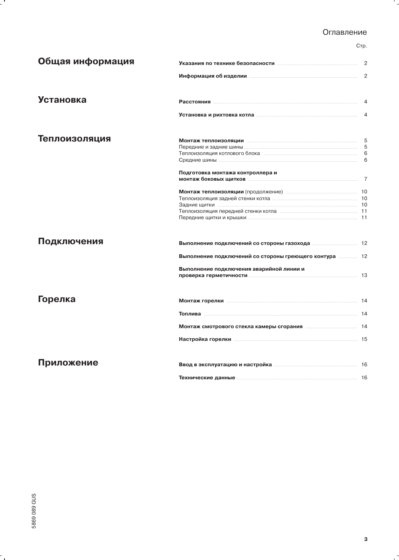### Оглавление

Стр.

۰.

| Общая информация | Указания по технике безопасности подделения с также в 2                                                        |   |  |  |  |
|------------------|----------------------------------------------------------------------------------------------------------------|---|--|--|--|
|                  | Информация об изделии политической положительной детей в 2                                                     |   |  |  |  |
| <b>Установка</b> |                                                                                                                |   |  |  |  |
|                  |                                                                                                                |   |  |  |  |
| Теплоизоляция    | <b>Монтаж теплоизоляции повестанности по полности по тепет в тем в тем в 5</b>                                 |   |  |  |  |
|                  |                                                                                                                | 5 |  |  |  |
|                  | Теплоизоляция котлового блока попросовности по положения по полности.                                          | 6 |  |  |  |
|                  |                                                                                                                | 6 |  |  |  |
|                  |                                                                                                                |   |  |  |  |
|                  | Подготовка монтажа контроллера и                                                                               |   |  |  |  |
|                  | монтаж боковых щитков политиков по так и так и так и так и так и так и так и так и так и так и так и так и так |   |  |  |  |
|                  |                                                                                                                |   |  |  |  |
|                  |                                                                                                                |   |  |  |  |
|                  |                                                                                                                |   |  |  |  |
|                  |                                                                                                                |   |  |  |  |
|                  |                                                                                                                |   |  |  |  |
| Подключения      |                                                                                                                |   |  |  |  |
|                  |                                                                                                                |   |  |  |  |
|                  | Выполнение подключений со стороны греющего контура  12                                                         |   |  |  |  |
|                  | Выполнение подключения аварийной линии и                                                                       |   |  |  |  |
|                  |                                                                                                                |   |  |  |  |
|                  |                                                                                                                |   |  |  |  |
| Горелка          |                                                                                                                |   |  |  |  |
|                  |                                                                                                                |   |  |  |  |
|                  |                                                                                                                |   |  |  |  |
|                  |                                                                                                                |   |  |  |  |
| Приложение       |                                                                                                                |   |  |  |  |
|                  |                                                                                                                |   |  |  |  |
|                  | <b>Технические данные политической против с технические данные</b> политические технические                    |   |  |  |  |

 $\ddot{\phantom{0}}$ 

 $\mathbf{r}$ 

 $\overline{a}$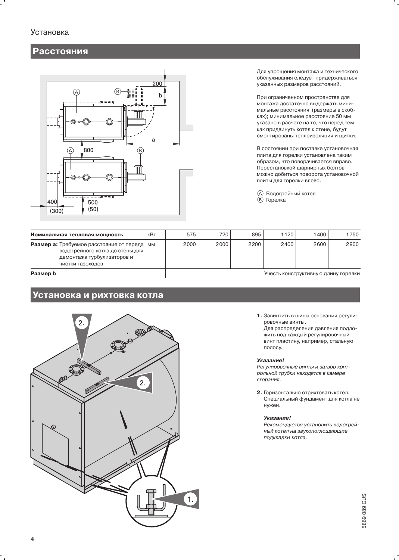### Установка

### **Расстояния**



Для упрощения монтажа и технического обслуживания следует придерживаться указанных размеров расстояний.

При ограниченном пространстве для монтажа достаточно выдержать минимальные расстояния (размеры в скобках); минимальное расстояние 50 мм указано в расчете на то, что перед тем как придвинуть котел к стене, будут смонтированы теплоизоляция и щитки.

В состоянии при поставке установочная плита для горелки установлена таким образом, что поворачивается вправо. Перестановкой шарнирных болтов можно добиться поворота установочной плиты для горелки влево.

**4** Водогрейный котел **(В)** Горелка

| Номинальная тепловая мощность                                                                                                 | кВт | 575                                 | 720  | 895    | 1120 | 1400 | 1750 |
|-------------------------------------------------------------------------------------------------------------------------------|-----|-------------------------------------|------|--------|------|------|------|
| Размер а: Требуемое расстояние от переда<br>водогрейного котла до стены для<br>демонтажа турбулизаторов и<br>чистки газоходов | MМ  | 2000                                | 2000 | 2200 l | 2400 | 2600 | 2900 |
| Размер b                                                                                                                      |     | Учесть конструктивную длину горелки |      |        |      |      |      |

### Установка и рихтовка котла



1. Завинтить в шины основания регулировочные винты. Для распределения давления подложить под каждый регулировочный винт пластину, например, стальную полосу.

### Указание!

Регулировочные винты и затвор контрольной трубки находятся в камере сгорания.

2. Горизонтально отрихтовать котел. Специальный фундамент для котла не нужен.

### Указание!

Рекомендуется установить водогрейный котел на звукопоглощающие подкладки котла.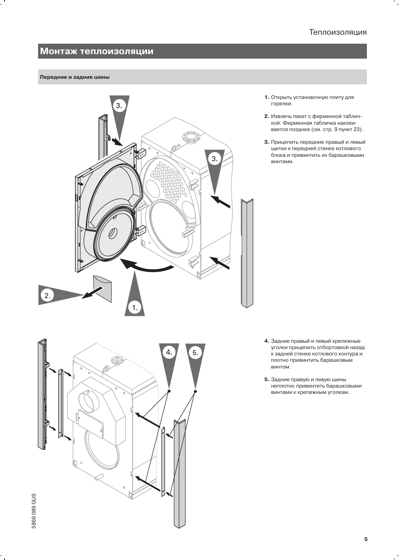### Монтаж теплоизоляции

### Передние и задние шины



5.

- 1. Открыть установочную плиту для горелки.
- 2. Извлечь пакет с фирменной табличкой. Фирменная табличка наклеивается позднее (см. стр. 9 пункт 23).
- 3. Прицепить передние правый и левый щитки к передней стенке котлового блока и привинтить их барашковыми винтами.

- 4. Задние правый и левый крепежные уголки прицепить отбортовкой назад к задней стенке котлового контура и плотно привинтить барашковым винтом.
- 5. Задние правую и левую шины неплотно привинтить барашковыми винтами к крепежным уголкам.

 $\mathcal{O}$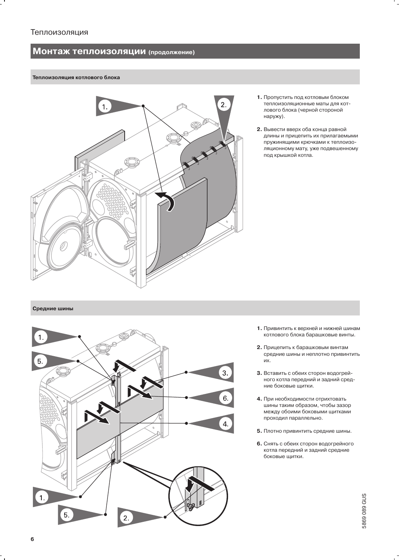### Монтаж теплоизоляции (продолжение)

### Теплоизоляция котлового блока



- 1. Пропустить под котловым блоком теплоизоляционные маты для котлового блока (черной стороной наружу).
- 2. Вывести вверх оба конца равной длины и прицепить их прилагаемыми пружинящими крючками к теплоизоляционному мату, уже подвешенному под крышкой котла.

### Средние шины



- 1. Привинтить к верхней и нижней шинам котлового блока барашковые винты.
- 2. Прицепить к барашковым винтам средние шины и неплотно привинтить их.
- 3. Вставить с обеих сторон водогрейного котла передний и задний средние боковые щитки.
- 4. При необходимости отрихтовать шины таким образом, чтобы зазор между обоими боковыми щитками проходил параллельно.
- 5. Плотно привинтить средние шины.
- 6. Снять с обеих сторон водогрейного котла передний и задний средние боковые щитки.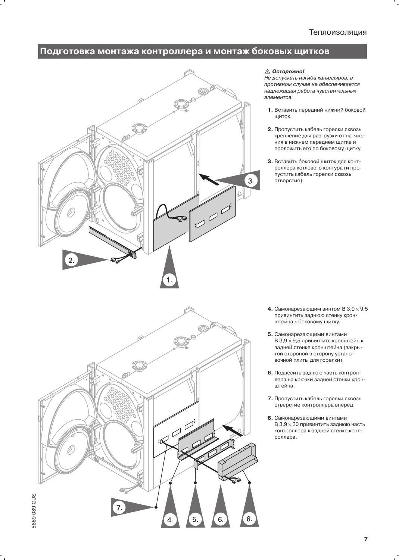### Подготовка монтажа контроллера и монтаж боковых щитков



### ∆ Осторожно!

Не допускать изгиба капилляров; в противном случае не обеспечивается надлежащая работа чувствительных элементов.

- 1. Вставить передний нижний боковой щиток.
- 2. Пропустить кабель горелки сквозь крепление для разгрузки от натяжения в нижнем переднем щитке и проложить его по боковому щитку.
- 3. Вставить боковой щиток для контроллера котлового контура (и пропустить кабель горелки сквозь отверстие).

- $\mathcal{L}$ 5869 089 GUS 8. 5. 6. 4.
- 4. Самонарезающим винтом В  $3,9 \times 9,5$ привинтить заднюю стенку кронштейна к боковому щитку.
- 5. Самонарезающими винтами В 3,9 × 9,5 привинтить кронштейн к задней стенке кронштейна (закрытой стороной в сторону установочной плиты для горелки).
- 6. Подвесить заднюю часть контроллера на крючки задней стенки кронштейна.
- 7. Пропустить кабель горелки сквозь отверстие контроллера вперед.
- 8. Самонарезающими винтами В 3,9 × 30 привинтить заднюю часть контроллера к задней стенке контроллера.

 $\overline{7}$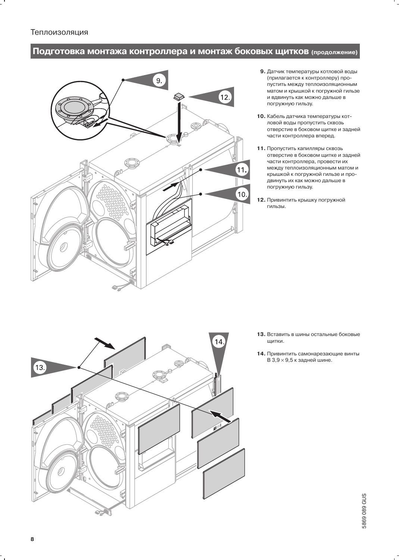# Подготовка монтажа контроллера и монтаж боковых щитков (продолжение)



- 9. Датчик температуры котловой воды (прилагается к контроллеру) пропустить между теплоизоляционным матом и крышкой к погружной гильзе и вдвинуть как можно дальше в погружную гильзу.
- 10. Кабель датчика температуры котловой воды пропустить сквозь отверстие в боковом щитке и задней части контроллера вперед.
- 11. Пропустить капилляры сквозь отверстие в боковом щитке и задней части контроллера, провести их между теплоизоляционным матом и крышкой к погружной гильзе и продвинуть их как можно дальше в погружную гильзу.
- 12. Привинтить крышку погружной гильзы.

- 14  $^{\prime}13.$ ூ È
- 13. Вставить в шины остальные боковые щитки.
- 14. Привинтить самонарезающие винты  $B$  3,9  $\times$  9,5 к задней шине.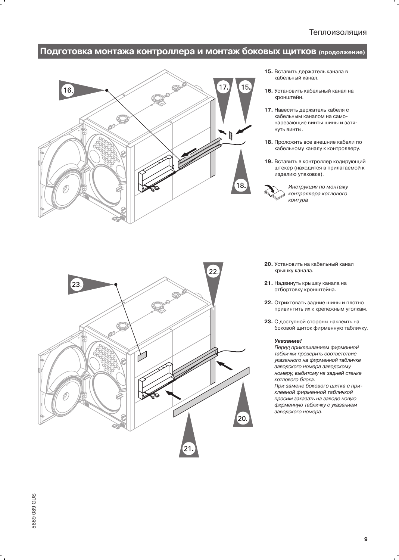## Подготовка монтажа контроллера и монтаж боковых щитков (продолжение)



- 15. Вставить держатель канала в кабельный канал.
- 16. Установить кабельный канал на кронштейн.
- 17. Навесить держатель кабеля с кабельным каналом на самонарезающие винты шины и затянуть винты.
- 18. Проложить все внешние кабели по кабельному каналу к контроллеру.
- 19. Вставить в контроллер кодирующий штекер (находится в прилагаемой к изделию упаковке).



Инструкция по монтажу контроллера котлового контура

- 22  $23$ Q 20.  $21$
- 20. Установить на кабельный канал крышку канала.
- 21. Надвинуть крышку канала на отбортовку кронштейна.
- 22. Отрихтовать задние шины и плотно привинтить их к крепежным уголкам.
- 23. С доступной стороны наклеить на боковой щиток фирменную табличку.

#### Указание!

Перед приклеиванием фирменной таблички проверить соответствие указанного на фирменной табличке заводского номера заводскому номеру, выбитому на задней стенке котлового блока.

При замене бокового щитка с приклееной фирменной табличкой просим заказать на заводе новую фирменную табличку с указанием заводского номера.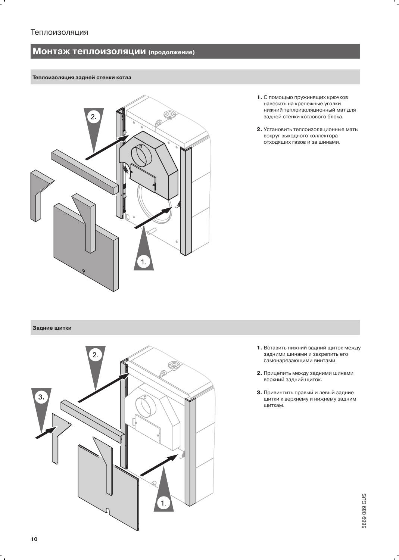# Монтаж теплоизоляции (продолжение)

### Теплоизоляция задней стенки котла



- 1. С помощью пружинящих крючков навесить на крепежные уголки нижний теплоизоляционный мат для задней стенки котлового блока.
- 2. Установить теплоизоляционные маты вокруг выходного коллектора отходящих газов и за шинами.

#### Задние щитки



- 1. Вставить нижний задний щиток между задними шинами и закрепить его самонарезающими винтами.
- 2. Прицепить между задними шинами верхний задний щиток.
- 3. Привинтить правый и левый задние щитки к верхнему и нижнему задним щиткам.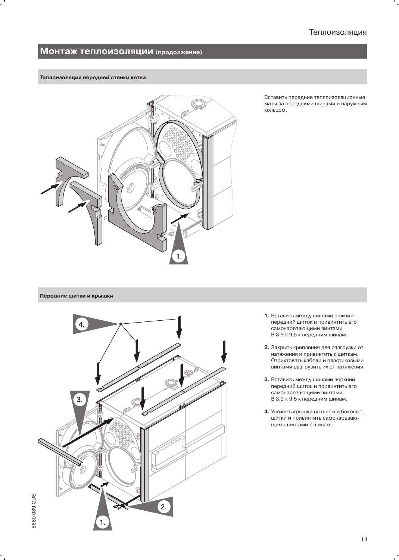### Монтаж теплоизоляции (продолжение)

#### Теплоизоляция передней стенки котла



Вставить передние теплоизоляционные маты за передними шинами и наружным кольцом.

### Передние щитки и крышки



- 1. Вставить между шинами нижний передний щиток и привинтить его самонарезающими винтами В  $3.9 \times 9.5$  к передним шинам.
- 2. Закрыть крепления для разгрузки от натяжения и привинтить к щиткам. Отрихтовать кабели и пластиковыми винтами разгрузить их от натяжения.
- 3. Вставить между шинами верхний передний щиток и привинтить его самонарезающими винтами В  $3,9 \times 9,5$  к передним шинам.
- 4. Уложить крышки на шины и боковые щитки и привинтить самонарезающими винтами к шинам.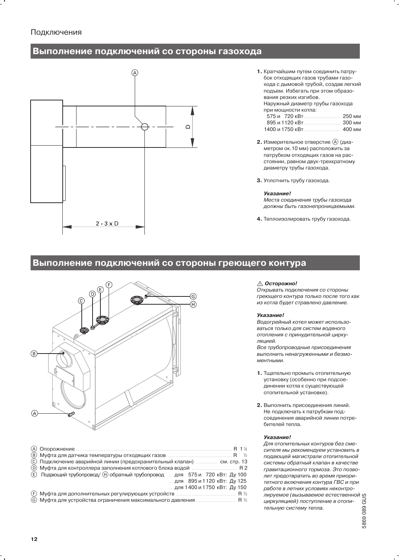### Подключения

### Выполнение подключений со стороны газохода

![](_page_11_Figure_2.jpeg)

- 1. Кратчайшим путем соединить патрубок отходящих газов трубами газохода с дымовой трубой, создав легкий подъем. Избегать при этом образования резких изгибов. Наружный диаметр трубы газохода при мощности котла: 575 и 720 кВт 250 мм 895 и 1120 кВт 300 мм 1400 и 1750 кВт ................. 400 мм
- 2. Измерительное отверстие (А) (диаметром ок.10 мм) расположить за патрубком отходящих газов на расстоянии, равном двух-трехкратному диаметру трубы газохода.
- 3. Уплотнить трубу газохода.

#### Указание!

Места соединения трубы газохода должны быть газонепроницаемыми.

4. Теплоизолировать трубу газохода.

### Выполнение подключений со стороны греющего контура

![](_page_11_Figure_10.jpeg)

|                                                                              | R 1 1 |  |
|------------------------------------------------------------------------------|-------|--|
|                                                                              |       |  |
| (С) Подключение аварийной линии (предохранительный клапан)  см. стр. 13      |       |  |
|                                                                              |       |  |
| (E) Подающий трубопровод/ (H) обратный трубопровод для 575 и 720 кВт: Ду 100 |       |  |
| для 895 и 1120 кВт: Ду 125                                                   |       |  |
| для 1400 и 1750 кВт: Ду 150                                                  |       |  |
|                                                                              |       |  |
|                                                                              |       |  |

#### ∆ Осторожно!

Открывать подключения со стороны греющего контура только после того как из котла будет стравлено давление.

#### Указание!

Водогрейный котел может использоваться только для систем водяного отопления с принудительной циркуляцией.

Все трубопроводные присоединения выполнить ненагруженными и безмоментными.

- 1. Тщательно промыть отопительную установку (особенно при подсоединении котла к существующей отопительной установке).
- 2. Выполнить присоединения линий. Не подключать к патрубкам подсоединения аварийной линии потребителей тепла

#### Указание!

Для отопительных контуров без смесителя мы рекомендуем установить в подающей магистрали отопительной "истемы"<br>пит предотвратить во време истории с лит предотвратить во време истории и состоительной состоянии и состоянии с получительной состоянии состояния состояния состояния состояния состояния состояния состояния состоя системы обратный клапан в качестве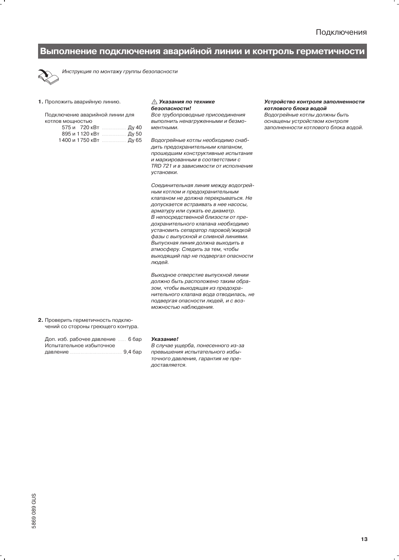# Выполнение подключения аварийной линии и контроль герметичности

![](_page_12_Picture_2.jpeg)

Инструкция по монтажу группы безопасности

#### 1. Проложить аварийную линию.

Подключение аварийной линии для котлов мощностью

|                        | 575 и 720 кВт  Ду 40  |
|------------------------|-----------------------|
|                        | 895 и 1120 кВт  Ду 50 |
| 1400 и 1750 кВт  Ду 65 |                       |

#### **△ Указания по технике** безопасности!

Все трубопроводные присоединения выполнить ненагруженными и безмоментными.

Водогрейные котлы необходимо снабдить предохранительным клапаном, прошедшим конструктивные испытания и маркированным в соответствии с TRD 721 и в зависимости от исполнения **VCTAHORKIA** 

Соединительная линия между водогрейным котлом и предохранительным клапаном не должна перекрываться. Не допускается встраивать в нее насосы, арматуру или сужать ее диаметр. В непосредственной близости от предохранительного клапана необходимо установить сепаратор паровой/жидкой фазы с выпускной и сливной линиями. Выпускная линия должна выходить в атмосферу. Следить за тем, чтобы выходящий пар не подвергал опасности люлей.

Выходное отверстие выпускной линии должно быть расположено таким образом, чтобы выходящая из предохранительного клапана вода отводилась, не подвергая опасности людей, и с возможностью наблюдения.

2. Проверить герметичность подключений со стороны греющего контура.

| Доп. изб. рабочее давление  6 бар |  |
|-----------------------------------|--|
| Испытательное избыточное          |  |
|                                   |  |

#### Указание!

В случае ущерба, понесенного из-за превышения испытательного избыточного давления, гарантия не предоставляется.

#### Устройство контроля заполненности котлового блока водой

Водогрейные котлы должны быть оснащены устройством контроля заполненности котлового блока водой.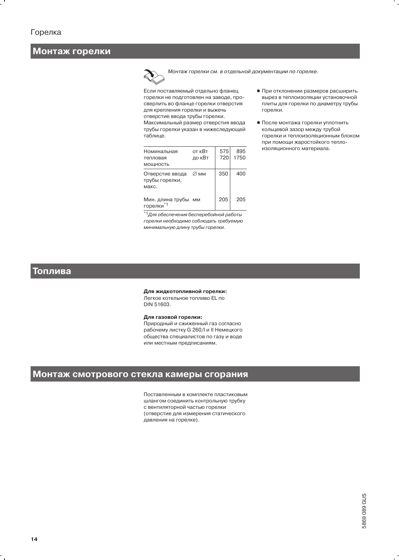### Монтаж горелки

Монтаж горелки см. в отдельной документации по горелке.

Если поставляемый отдельно фланец горелки не подготовлен на заводе, просверлить во фланце горелки отверстия для крепления горелки и выжечь отверстие ввода трубы горелки. Максимальный размер отверстия ввода трубы горелки указан в нижеследующей таблице.

| Номинальная<br>тепловая<br>МОЩНОСТЬ        | от кВт<br>до кВт | 575<br>720 | 895<br>1750 |
|--------------------------------------------|------------------|------------|-------------|
| Отверстие ввода<br>трубы горелки.<br>макс. | ∅мм              | 350        | 400         |
| Мин. длина трубы мм<br>горелки*1           |                  | 205        | 205         |

\*<sup>1</sup>Для обеспечения бесперебойной работы горелки необходимо соблюдать требуемую минимальную длину трубы горелки.

- При отклонении размеров расширить вырез в теплоизоляции установочной плиты для горелки по диаметру трубы горелки.
- После монтажа горелки уплотнить кольцевой зазор между трубой горелки и теплоизоляционным блоком при помощи жаростойкого теплоизоляционного материала.

### Топлива

#### Для жидкотопливной горелки:

Легкое котельное топливо EL по DIN 51603.

### Для газовой горелки:

Природный и сжиженный газ согласно рабочему листку G 260/I и II Немецкого общества специалистов по газу и воде или местным предписаниям.

### Монтаж смотрового стекла камеры сгорания

Поставленным в комплекте пластиковым шлангом соединить контрольную трубку с вентиляторной частью горелки (отверстие для измерения статического давления на горелке).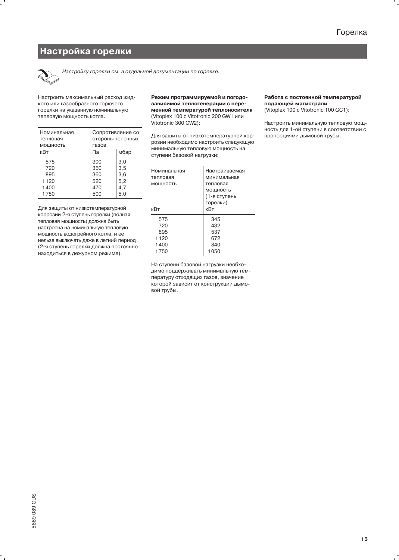### Настройка горелки

![](_page_14_Picture_2.jpeg)

Настройку горелки см. в отдельной документации по горелке.

Настроить максимальный расход жидкого или газообразного горючего горелки на указанную номинальную тепловую мощность котла.

| Номинальная<br>тепловая<br>МОЩНОСТЬ | Сопротивление со<br>стороны топочных<br>газов |      |  |
|-------------------------------------|-----------------------------------------------|------|--|
| кВт                                 | Па                                            | мбар |  |
| 575                                 | 300                                           | 3,0  |  |
| 720                                 | 350                                           | 3,5  |  |
| 895                                 | 360                                           | 3,6  |  |
| 1120                                | 520                                           | 5,2  |  |
| 1400                                | 470                                           | 4,7  |  |
| 1750                                | 500                                           | 5,0  |  |

Для защиты от низкотемпературной коррозии 2-я ступень горелки (полная тепловая мощность) должна быть настроена на номинальную тепловую мощность водогрейного котла, и ее нельзя выключать даже в летний период (2-я ступень горелки должна постоянно находиться в дежурном режиме).

Режим программируемой и погодозависимой теплогенерации с переменной температурой теплоносителя (Vitoplex 100 с Vitotronic 200 GW1 или Vitotronic 300 GW2):

Для защиты от низкотемпературной коррозии необходимо настроить следующую минимальную тепловую мощность на ступени базовой нагрузки:

| Номинальная | Настраиваемая |  |  |
|-------------|---------------|--|--|
| тепловая    | минимальная   |  |  |
| МОЩНОСТЬ    | тепловая      |  |  |
|             | МОЩНОСТЬ      |  |  |
|             | (1-я ступень  |  |  |
|             | горелки)      |  |  |
| кВт         | кВт           |  |  |
| 575         | 345           |  |  |
| 720         | 432           |  |  |
| 895         | 537           |  |  |
| 1120        | 672           |  |  |
| 1400        | 840           |  |  |
| 1750        | 1050          |  |  |

На ступени базовой нагрузки необходимо поддерживать минимальную температуру отходящих газов, значение которой зависит от конструкции дымовой трубы.

#### Работа с постоянной температурой подающей магистрали (Vitoplex 100 c Vitotronic 100 GC1):

Настроить минимальную тепловую мощность для 1-ой ступени в соответствии с пропорциями дымовой трубы.